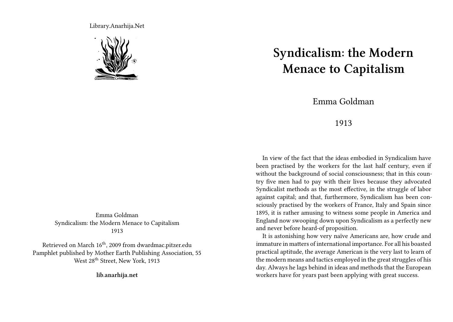Library.Anarhija.Net



Emma Goldman Syndicalism: the Modern Menace to Capitalism 1913

Retrieved on March 16<sup>th</sup>, 2009 from dwardmac.pitzer.edu Pamphlet published by Mother Earth Publishing Association, 55 West 28<sup>th</sup> Street, New York, 1913

**lib.anarhija.net**

## **Syndicalism: the Modern Menace to Capitalism**

Emma Goldman

1913

In view of the fact that the ideas embodied in Syndicalism have been practised by the workers for the last half century, even if without the background of social consciousness; that in this country five men had to pay with their lives because they advocated Syndicalist methods as the most effective, in the struggle of labor against capital; and that, furthermore, Syndicalism has been consciously practised by the workers of France, Italy and Spain since 1895, it is rather amusing to witness some people in America and England now swooping down upon Syndicalism as a perfectly new and never before heard-of proposition.

It is astonishing how very naïve Americans are, how crude and immature in matters of international importance. For all his boasted practical aptitude, the average American is the very last to learn of the modern means and tactics employed in the great struggles of his day. Always he lags behind in ideas and methods that the European workers have for years past been applying with great success.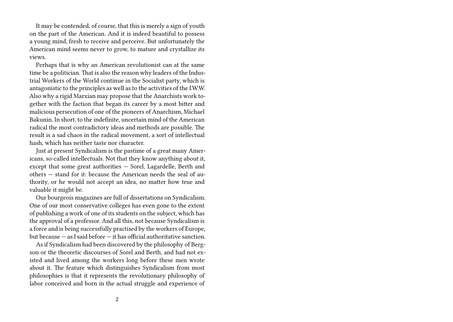It may be contended, of course, that this is merely a sign of youth on the part of the American. And it is indeed beautiful to possess a young mind, fresh to receive and perceive. But unfortunately the American mind seems never to grow, to mature and crystallize its views.

Perhaps that is why an American revolutionist can at the same time be a politician. That is also the reason why leaders of the Industrial Workers of the World continue in the Socialist party, which is antagonistic to the principles as well as to the activities of the I.W.W. Also why a rigid Marxian may propose that the Anarchists work together with the faction that began its career by a most bitter and malicious persecution of one of the pioneers of Anarchism, Michael Bakunin. In short, to the indefinite, uncertain mind of the American radical the most contradictory ideas and methods are possible. The result is a sad chaos in the radical movement, a sort of intellectual hash, which has neither taste nor character.

Just at present Syndicalism is the pastime of a great many Americans, so-called intellectuals. Not that they know anything about it, except that some great authorities — Sorel, Lagardelle, Berth and others — stand for it: because the American needs the seal of authority, or he would not accept an idea, no matter how true and valuable it might be.

Our bourgeois magazines are full of dissertations on Syndicalism. One of our most conservative colleges has even gone to the extent of publishing a work of one of its students on the subject, which has the approval of a professor. And all this, not because Syndicalism is a force and is being successfully practised by the workers of Europe, but because — as I said before — it has official authoritative sanction.

As if Syndicalism had been discovered by the philosophy of Bergson or the theoretic discourses of Sorel and Berth, and had not existed and lived among the workers long before these men wrote about it. The feature which distinguishes Syndicalism from most philosophies is that it represents the revolutionary philosophy of labor conceived and born in the actual struggle and experience of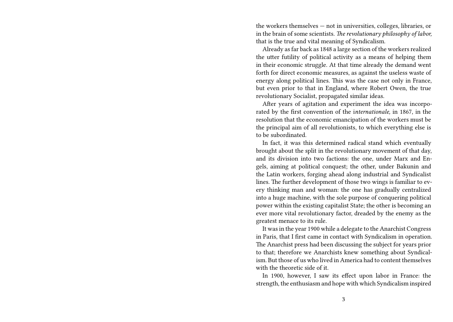the workers themselves — not in universities, colleges, libraries, or in the brain of some scientists. *The revolutionary philosophy of labor,* that is the true and vital meaning of Syndicalism.

Already as far back as 1848 a large section of the workers realized the utter futility of political activity as a means of helping them in their economic struggle. At that time already the demand went forth for direct economic measures, as against the useless waste of energy along political lines. This was the case not only in France, but even prior to that in England, where Robert Owen, the true revolutionary Socialist, propagated similar ideas.

After years of agitation and experiment the idea was incorporated by the first convention of the i*nternationale,* in 1867, in the resolution that the economic emancipation of the workers must be the principal aim of all revolutionists, to which everything else is to be subordinated.

In fact, it was this determined radical stand which eventually brought about the split in the revolutionary movement of that day, and its division into two factions: the one, under Marx and Engels, aiming at political conquest; the other, under Bakunin and the Latin workers, forging ahead along industrial and Syndicalist lines. The further development of those two wings is familiar to every thinking man and woman: the one has gradually centralized into a huge machine, with the sole purpose of conquering political power within the existing capitalist State; the other is becoming an ever more vital revolutionary factor, dreaded by the enemy as the greatest menace to its rule.

It was in the year 1900 while a delegate to the Anarchist Congress in Paris, that I first came in contact with Syndicalism in operation. The Anarchist press had been discussing the subject for years prior to that; therefore we Anarchists knew something about Syndicalism. But those of us who lived in America had to content themselves with the theoretic side of it.

In 1900, however, I saw its effect upon labor in France: the strength, the enthusiasm and hope with which Syndicalism inspired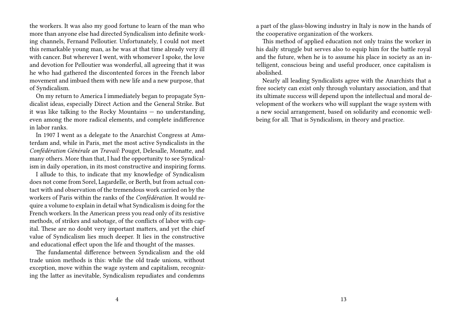the workers. It was also my good fortune to learn of the man who more than anyone else had directed Syndicalism into definite working channels, Fernand Pelloutier. Unfortunately, I could not meet this remarkable young man, as he was at that time already very ill with cancer. But wherever I went, with whomever I spoke, the love and devotion for Pelloutier was wonderful, all agreeing that it was he who had gathered the discontented forces in the French labor movement and imbued them with new life and a new purpose, that of Syndicalism.

On my return to America I immediately began to propagate Syndicalist ideas, especially Direct Action and the General Strike. But it was like talking to the Rocky Mountains — no understanding, even among the more radical elements, and complete indifference in labor ranks.

In 1907 I went as a delegate to the Anarchist Congress at Amsterdam and, while in Paris, met the most active Syndicalists in the *Confédération Générale an Travail:* Pouget, Delesalle, Monatte, and many others. More than that, I had the opportunity to see Syndicalism in daily operation, in its most constructive and inspiring forms.

I allude to this, to indicate that my knowledge of Syndicalism does not come from Sorel, Lagardelle, or Berth, but from actual contact with and observation of the tremendous work carried on by the workers of Paris within the ranks of the *Confédération.* It would require a volume to explain in detail what Syndicalism is doing for the French workers. In the American press you read only of its resistive methods, of strikes and sabotage, of the conflicts of labor with capital. These are no doubt very important matters, and yet the chief value of Syndicalism lies much deeper. It lies in the constructive and educational effect upon the life and thought of the masses.

The fundamental difference between Syndicalism and the old trade union methods is this: while the old trade unions, without exception, move within the wage system and capitalism, recognizing the latter as inevitable, Syndicalism repudiates and condemns

a part of the glass-blowing industry in Italy is now in the hands of the cooperative organization of the workers.

This method of applied education not only trains the worker in his daily struggle but serves also to equip him for the battle royal and the future, when he is to assume his place in society as an intelligent, conscious being and useful producer, once capitalism is abolished.

Nearly all leading Syndicalists agree with the Anarchists that a free society can exist only through voluntary association, and that its ultimate success will depend upon the intellectual and moral development of the workers who will supplant the wage system with a new social arrangement, based on solidarity and economic wellbeing for all. That is Syndicalism, in theory and practice.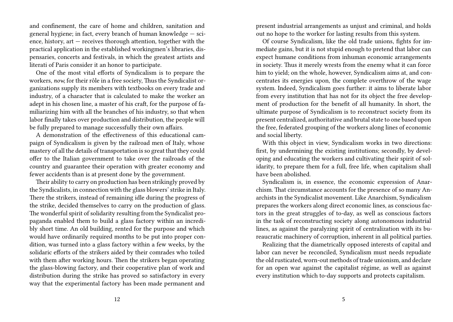and confinement, the care of home and children, sanitation and general hygiene; in fact, every branch of human knowledge — science, history, art — receives thorough attention, together with the practical application in the established workingmen's libraries, dispensaries, concerts and festivals, in which the greatest artists and literati of Paris consider it an honor to participate.

One of the most vital efforts of Syndicalism is to prepare the workers, *now,* for their rôle in a free society, Thus the Syndicalist organizations supply its members with textbooks on every trade and industry, of a character that is calculated to make the worker an adept in his chosen line, a master of his craft, for the purpose of familiarizing him with all the branches of his industry, so that when labor finally takes over production and distribution, the people will be fully prepared to manage successfully their own affairs.

A demonstration of the effectiveness of this educational campaign of Syndicalism is given by the railroad men of Italy, whose mastery of all the details of transportation is so great that they could offer to the Italian government to take over the railroads of the country and guarantee their operation with greater economy and fewer accidents than is at present done by the government.

Their ability to carry on production has been strikingly proved by the Syndicalists, in connection with the glass blowers' strike in Italy. There the strikers, instead of remaining idle during the progress of the strike, decided themselves to carry on the production of glass. The wonderful spirit of solidarity resulting from the Syndicalist propaganda enabled them to build a glass factory within an incredibly short time. An old building, rented for the purpose and which would have ordinarily required months to be put into proper condition, was turned into a glass factory within a few weeks, by the solidaric efforts of the strikers aided by their comrades who toiled with them after working hours. Then the strikers began operating the glass-blowing factory, and their cooperative plan of work and distribution during the strike has proved so satisfactory in every way that the experimental factory has been made permanent and

present industrial arrangements as unjust and criminal, and holds out no hope to the worker for lasting results from this system.

Of course Syndicalism, like the old trade unions, fights for immediate gains, but it is not stupid enough to pretend that labor can expect humane conditions from inhuman economic arrangements in society. Thus it merely wrests from the enemy what it can force him to yield; on the whole, however, Syndicalism aims at, and concentrates its energies upon, the complete overthrow of the wage system. Indeed, Syndicalism goes further: it aims to liberate labor from every institution that has not for its object the free development of production for the benefit of all humanity. In short, the ultimate purpose of Syndicalism is to reconstruct society from its present centralized, authoritative and brutal state to one based upon the free, federated grouping of the workers along lines of economic and social liberty.

With this object in view, Syndicalism works in two directions: first, by undermining the existing institutions; secondly, by developing and educating the workers and cultivating their spirit of solidarity, to prepare them for a full, free life, when capitalism shall have been abolished.

Syndicalism is, in essence, the economic expression of Anarchism. That circumstance accounts for the presence of so many Anarchists in the Syndicalist movement. Like Anarchism, Syndicalism prepares the workers along direct economic lines, as conscious factors in the great struggles of to-day, as well as conscious factors in the task of reconstructing society along autonomous industrial lines, as against the paralyzing spirit of centralization with its bureaucratic machinery of corruption, inherent in all political parties.

Realizing that the diametrically opposed interests of capital and labor can never be reconciled, Syndicalism must needs repudiate the old rusticated, worn-out methods of trade unionism, and declare for an open war against the capitalist régime, as well as against every institution which to-day supports and protects capitalism.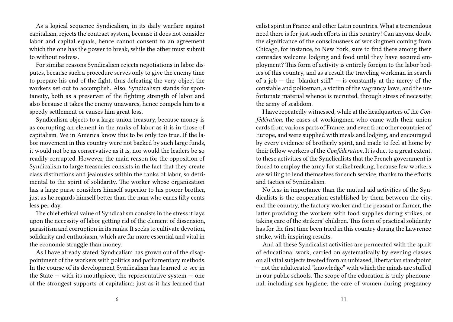As a logical sequence Syndicalism, in its daily warfare against capitalism, rejects the contract system, because it does not consider labor and capital equals, hence cannot consent to an agreement which the one has the power to break, while the other must submit to without redress.

For similar reasons Syndicalism rejects negotiations in labor disputes, because such a procedure serves only to give the enemy time to prepare his end of the fight, thus defeating the very object the workers set out to accomplish. Also, Syndicalism stands for spontaneity, both as a preserver of the fighting strength of labor and also because it takes the enemy unawares, hence compels him to a speedy settlement or causes him great loss.

Syndicalism objects to a large union treasury, because money is as corrupting an element in the ranks of labor as it is in those of capitalism. We in America know this to be only too true. If the labor movement in this country were not backed by such large funds, it would not be as conservative as it is, nor would the leaders be so readily corrupted. However, the main reason for the opposition of Syndicalism to large treasuries consists in the fact that they create class distinctions and jealousies within the ranks of labor, so detrimental to the spirit of solidarity. The worker whose organization has a large purse considers himself superior to his poorer brother, just as he regards himself better than the man who earns fifty cents less per day.

The chief ethical value of Syndicalism consists in the stress it lays upon the necessity of labor getting rid of the element of dissension, parasitism and corruption in its ranks. It seeks to cultivate devotion, solidarity and enthusiasm, which are far more essential and vital in the economic struggle than money.

As I have already stated, Syndicalism has grown out of the disappointment of the workers with politics and parliamentary methods. In the course of its development Syndicalism has learned to see in the State  $-$  with its mouthpiece, the representative system  $-$  one of the strongest supports of capitalism; just as it has learned that

calist spirit in France and other Latin countries. What a tremendous need there is for just such efforts in this country! Can anyone doubt the significance of the consciousness of workingmen coming from Chicago, for instance, to New York, sure to find there among their comrades welcome lodging and food until they have secured employment? This form of activity is entirely foreign to the labor bodies of this country, and as a result the traveling workman in search of a job  $-$  the "blanket stiff"  $-$  is constantly at the mercy of the constable and policeman, a victim of the vagrancy laws, and the unfortunate material whence is recruited, through stress of necessity, the army of scabdom.

I have repeatedly witnessed, while at the headquarters of the *Confédération,* the cases of workingmen who came with their union cards from various parts of France, and even from other countries of Europe, and were supplied with meals and lodging, and encouraged by every evidence of brotherly spirit, and made to feel at home by their fellow workers of the *Confédération.* It is due, to a great extent, to these activities of the Synclicalists that the French government is forced to employ the army for strikebreaking, because few workers are willing to lend themselves for such service, thanks to the efforts and tactics of Syndicalism.

No less in importance than the mutual aid activities of the Syndicalists is the cooperation established by them between the city, end the country, the factory worker and the peasant or farmer, the latter providing the workers with food supplies during strikes, or taking care of the strikers' children. This form of practical solidarity has for the first time been tried in this country during the Lawrence strike, with inspiring results.

And all these Syndicalist activities are permeated with the spirit of educational work, carried on systematically by evening classes on all vital subjects treated from an unbiased, libertarian standpoint — not the adulterated "knowledge" with which the minds are stuffed in our public schools. The scope of the education is truly phenomenal, including sex hygiene, the care of women during pregnancy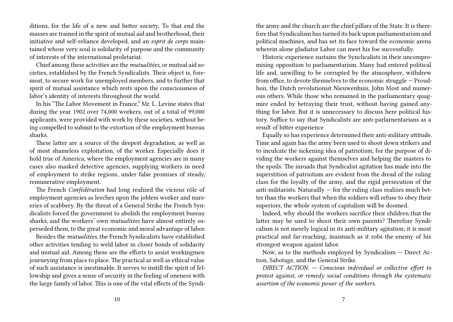ditions, for the life of a new and better society. To that end the masses are trained in the spirit of mutual aid and brotherhood, their initiative and self-reliance developed, and an *esprit de corps* maintained whose very soul is solidarity of purpose and the community of interests of the international proletariat.

Chief among these activities are the *mutualitées,* or mutual aid societies, established by the French Syndicalists. Their object is, foremost, to secure work for unemployed members, and to further that spirit of mutual assistance which rests upon the consciousness of labor's identity of interests throughout the world.

In his "The Labor Movement in France," Mr. L. Levine states that during the year 1902 over 74,000 workers, out of a total of 99,000 applicants, were provided with work by these societies, without being compelled to submit to the extortion of the employment bureau sharks.

These latter are a source of the deepest degradation, as well as of most shameless exploitation, of the worker. Especially does it hold true of America, where the employment agencies are in many cases also masked detective agencies, supplying workers in need of employment to strike regions, under false promises of steady, remunerative employment.

The French *Confédération* had long realized the vicious rôle of employment agencies as leeches upon the jobless worker and nurseries of scabbery. By the threat of a General Strike the French Syndicalists forced the government to abolish the employment bureau sharks, and the workers' own *mutualitées* have almost entirely superseded them, to the great economic and moral advantage of labor.

Besides the *mutualitées,* the French Syndicalists have established other activities tending to weld labor in closer bonds of solidarity and mutual aid. Among these are the efforts to assist workingmen journeying from place to place. The practical as well as ethical value of such assistance is inestimable. It serves to instill the spirit of fellowship and gives a sense of security in the feeling of oneness with the large family of labor. This is one of the vital effects of the Syndi-

the army and the church are the chief pillars of the State. It is therefore that Syndicalism has turned its back upon parliamentarism and political machines, and has set its face toward the economic arena wherein alone gladiator Labor can meet his foe successfully.

Historic experience sustains the Synclicalists in their uncompromising opposition to parliamentarism. Many had entered political life and, unwilling to be corrupted by the atmosphere, withdrew from office, to devote themselves to the economic struggle — Proudhon, the Dutch revolutionist Nieuwenhuis, John Most and numerous others. While those who remained in the parliamentary quagmire ended by betraying their trust, without having gained anything for labor. But it is unnecessary to discuss here political history. Suffice to say that Syndicalists are anti-parlarnentarians as a result of bitter experience

Equally so has experience determined their anti-military attitude. Time and again has the army been used to shoot down strikers and to inculcate the sickening idea of patriotism, for the purpose of dividing the workers against themselves and helping the masters to the spoils. The inroads that Syndicalist agitation has made into the superstition of patriotism are evident from the dread of the ruling class for the loyalty of the army, and the rigid persecution of the anti-militarists. Naturailly  $-$  for the ruling class realizes much better than the workers that when the soldiers will refuse to obey their superiors, the whole system of capitalism will be doomed.

Indeed, why should the workers sacrifice their children that the latter may be used to shoot their own parents? Therefore Syndicalism is not merely logical in its anti-military agitation; it is most practical and far-reaching, inasmuch as it robs the enemy of his strongest weapon against labor.

Now, as to the methods employed by Syndicalism — Direct Action, Sabotage, and the General Strike.

*DIRECT ACTION. — Conscious individual or collective effort to protest against, or remedy social conditions through the systematic assertion of the economic power of the workers.*